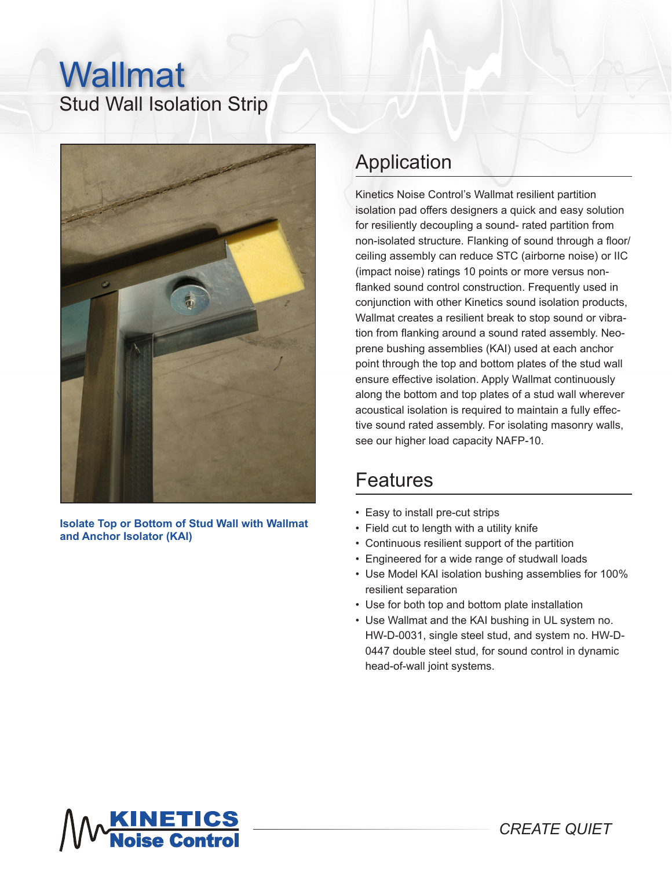## Stud Wall Isolation Strip Wallmat



**Isolate Top or Bottom of Stud Wall with Wallmat and Anchor Isolator (KAI)**

## Application

Kinetics Noise Control's Wallmat resilient partition isolation pad offers designers a quick and easy solution for resiliently decoupling a sound- rated partition from non-isolated structure. Flanking of sound through a floor/ ceiling assembly can reduce STC (airborne noise) or IIC (impact noise) ratings 10 points or more versus nonflanked sound control construction. Frequently used in conjunction with other Kinetics sound isolation products, Wallmat creates a resilient break to stop sound or vibration from flanking around a sound rated assembly. Neoprene bushing assemblies (KAI) used at each anchor point through the top and bottom plates of the stud wall ensure effective isolation. Apply Wallmat continuously along the bottom and top plates of a stud wall wherever acoustical isolation is required to maintain a fully effective sound rated assembly. For isolating masonry walls, see our higher load capacity NAFP-10.

## Features

- Easy to install pre-cut strips
- Field cut to length with a utility knife
- Continuous resilient support of the partition
- Engineered for a wide range of studwall loads
- Use Model KAI isolation bushing assemblies for 100% resilient separation
- Use for both top and bottom plate installation
- Use Wallmat and the KAI bushing in UL system no. HW-D-0031, single steel stud, and system no. HW-D-0447 double steel stud, for sound control in dynamic head-of-wall joint systems.